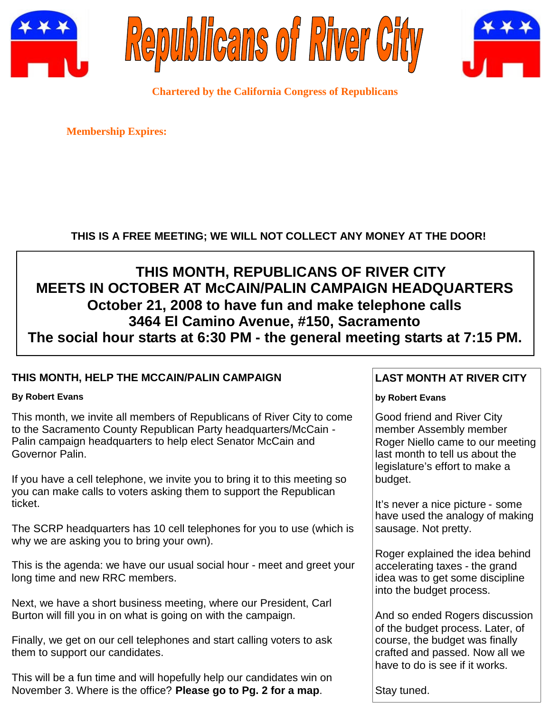





**Chartered by the California Congress of Republicans**

**Membership Expires:**

# **THIS IS A FREE MEETING; WE WILL NOT COLLECT ANY MONEY AT THE DOOR!**

# **THIS MONTH, REPUBLICANS OF RIVER CITY MEETS IN OCTOBER AT McCAIN/PALIN CAMPAIGN HEADQUARTERS October 21, 2008 to have fun and make telephone calls 3464 El Camino Avenue, #150, Sacramento The social hour starts at 6:30 PM - the general meeting starts at 7:15 PM.**

## **THIS MONTH, HELP THE MCCAIN/PALIN CAMPAIGN**

#### **By Robert Evans**

This month, we invite all members of Republicans of River City to come to the Sacramento County Republican Party headquarters/McCain - Palin campaign headquarters to help elect Senator McCain and Governor Palin.

If you have a cell telephone, we invite you to bring it to this meeting so you can make calls to voters asking them to support the Republican ticket.

The SCRP headquarters has 10 cell telephones for you to use (which is why we are asking you to bring your own).

This is the agenda: we have our usual social hour - meet and greet your long time and new RRC members.

Next, we have a short business meeting, where our President, Carl Burton will fill you in on what is going on with the campaign.

Finally, we get on our cell telephones and start calling voters to ask them to support our candidates.

This will be a fun time and will hopefully help our candidates win on November 3. Where is the office? **Please go to Pg. 2 for a map**.

## **LAST MONTH AT RIVER CITY**

## **by Robert Evans**

Good friend and River City member Assembly member Roger Niello came to our meeting last month to tell us about the legislature's effort to make a budget.

It's never a nice picture - some have used the analogy of making sausage. Not pretty.

Roger explained the idea behind accelerating taxes - the grand idea was to get some discipline into the budget process.

And so ended Rogers discussion of the budget process. Later, of course, the budget was finally crafted and passed. Now all we have to do is see if it works.

Stay tuned.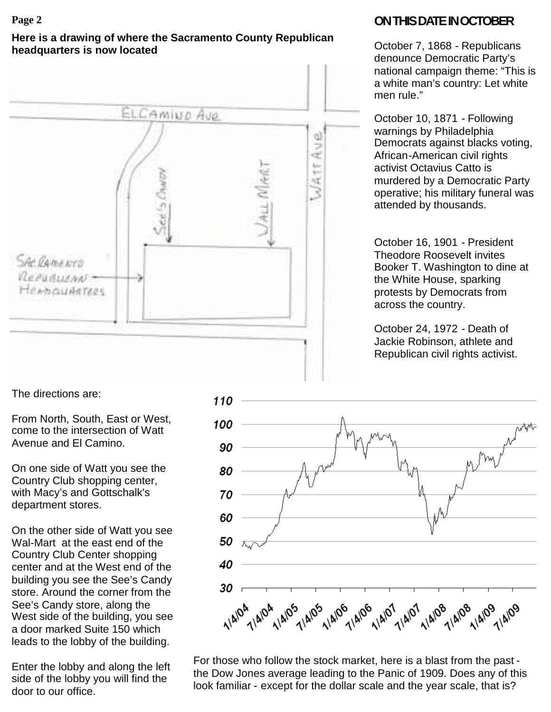### **Here is a drawing of where the Sacramento County Republican headquarters is now located**



# **Page 2 ONTHISDATEINOCTOBER**

October 7, 1868 - Republicans denounce Democratic Party's national campaign theme: "This is a white man's country: Let white men rule."

October 10, 1871 - Following warnings by Philadelphia Democrats against blacks voting, African-American civil rights activist Octavius Catto is murdered by a Democratic Party operative; his military funeral was attended by thousands.

October 16, 1901 - President Theodore Roosevelt invites Booker T. Washington to dine at the White House, sparking protests by Democrats from across the country.

October 24, 1972 - Death of Jackie Robinson, athlete and Republican civil rights activist.

The directions are:

From North, South, East or West, come to the intersection of Watt Avenue and El Camino.

On one side of Watt you see the Country Club shopping center, with Macy's and Gottschalk's department stores.

On the other side of Watt you see Wal-Mart at the east end of the Country Club Center shopping center and at the West end of the building you see the See's Candy store. Around the corner from the See's Candy store, along the West side of the building, you see a door marked Suite 150 which leads to the lobby of the building.

Enter the lobby and along the left side of the lobby you will find the door to our office.



For those who follow the stock market, here is a blast from the past the Dow Jones average leading to the Panic of 1909. Does any of this look familiar - except for the dollar scale and the year scale, that is?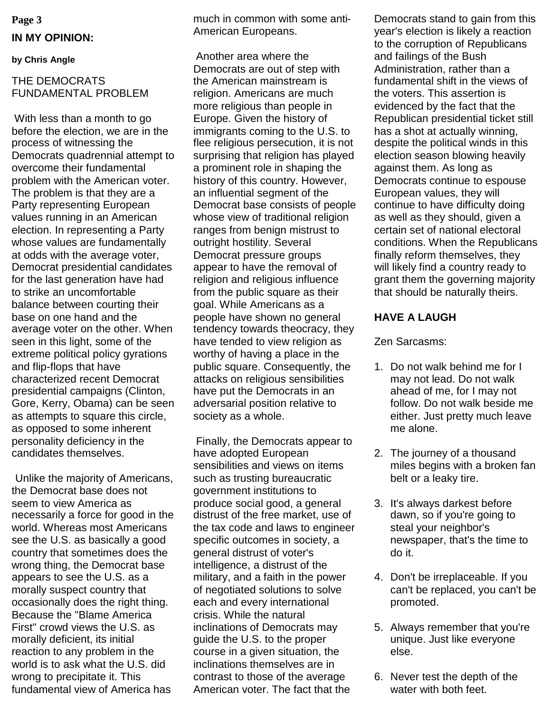# **Page 3 IN MY OPINION:**

#### **by Chris Angle**

## THE DEMOCRATS FUNDAMENTAL PROBLEM

With less than a month to go before the election, we are in the process of witnessing the Democrats quadrennial attempt to overcome their fundamental problem with the American voter. The problem is that they are a Party representing European values running in an American election. In representing a Party whose values are fundamentally at odds with the average voter, Democrat presidential candidates for the last generation have had to strike an uncomfortable balance between courting their base on one hand and the average voter on the other. When seen in this light, some of the extreme political policy gyrations and flip-flops that have characterized recent Democrat presidential campaigns (Clinton, Gore, Kerry, Obama) can be seen as attempts to square this circle, as opposed to some inherent personality deficiency in the candidates themselves.

Unlike the majority of Americans, the Democrat base does not seem to view America as necessarily a force for good in the world. Whereas most Americans see the U.S. as basically a good country that sometimes does the wrong thing, the Democrat base appears to see the U.S. as a morally suspect country that occasionally does the right thing. Because the "Blame America First" crowd views the U.S. as morally deficient, its initial reaction to any problem in the world is to ask what the U.S. did wrong to precipitate it. This fundamental view of America has

much in common with some anti-American Europeans.

Another area where the Democrats are out of step with the American mainstream is religion. Americans are much more religious than people in Europe. Given the history of immigrants coming to the U.S. to flee religious persecution, it is not surprising that religion has played a prominent role in shaping the history of this country. However, an influential segment of the Democrat base consists of people whose view of traditional religion ranges from benign mistrust to outright hostility. Several Democrat pressure groups appear to have the removal of religion and religious influence from the public square as their goal. While Americans as a people have shown no general tendency towards theocracy, they have tended to view religion as worthy of having a place in the public square. Consequently, the attacks on religious sensibilities have put the Democrats in an adversarial position relative to society as a whole.

Finally, the Democrats appear to have adopted European sensibilities and views on items such as trusting bureaucratic government institutions to produce social good, a general distrust of the free market, use of the tax code and laws to engineer specific outcomes in society, a general distrust of voter's intelligence, a distrust of the military, and a faith in the power of negotiated solutions to solve each and every international crisis. While the natural inclinations of Democrats may guide the U.S. to the proper course in a given situation, the inclinations themselves are in contrast to those of the average American voter. The fact that the

Democrats stand to gain from this year's election is likely a reaction to the corruption of Republicans and failings of the Bush Administration, rather than a fundamental shift in the views of the voters. This assertion is evidenced by the fact that the Republican presidential ticket still has a shot at actually winning, despite the political winds in this election season blowing heavily against them. As long as Democrats continue to espouse European values, they will continue to have difficulty doing as well as they should, given a certain set of national electoral conditions. When the Republicans finally reform themselves, they will likely find a country ready to grant them the governing majority that should be naturally theirs.

## **HAVE A LAUGH**

Zen Sarcasms:

- 1. Do not walk behind me for I may not lead. Do not walk ahead of me, for I may not follow. Do not walk beside me either. Just pretty much leave me alone.
- 2. The journey of a thousand miles begins with a broken fan belt or a leaky tire.
- 3. It's always darkest before dawn, so if you're going to steal your neighbor's newspaper, that's the time to do it.
- 4. Don't be irreplaceable. If you can't be replaced, you can't be promoted.
- 5. Always remember that you're unique. Just like everyone else.
- 6. Never test the depth of the water with both feet.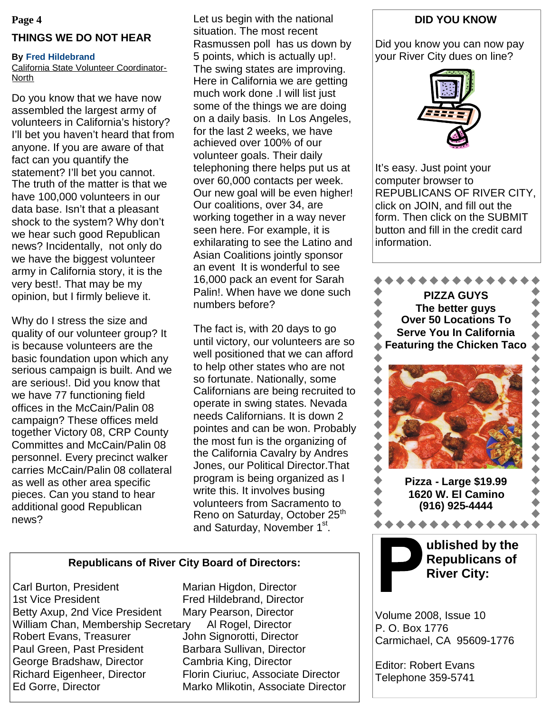#### **Page 4**

#### **THINGS WE DO NOT HEAR**

#### **By Fred Hildebrand**

California State Volunteer Coordinator-North

Do you know that we have now assembled the largest army of volunteers in California's history? I'll bet you haven't heard that from anyone. If you are aware of that fact can you quantify the statement? I'll bet you cannot. The truth of the matter is that we have 100,000 volunteers in our data base. Isn't that a pleasant shock to the system? Why don't we hear such good Republican news? Incidentally, not only do we have the biggest volunteer army in California story, it is the very best!. That may be my opinion, but I firmly believe it.

Why do I stress the size and quality of our volunteer group? It is because volunteers are the basic foundation upon which any serious campaign is built. And we are serious!. Did you know that we have 77 functioning field offices in the McCain/Palin 08 campaign? These offices meld together Victory 08, CRP County Committes and McCain/Palin 08 personnel. Every precinct walker carries McCain/Palin 08 collateral as well as other area specific pieces. Can you stand to hear additional good Republican news?

Let us begin with the national situation. The most recent Rasmussen poll has us down by 5 points, which is actually up!. The swing states are improving. Here in California we are getting much work done .I will list just some of the things we are doing on a daily basis. In Los Angeles, for the last 2 weeks, we have achieved over 100% of our volunteer goals. Their daily telephoning there helps put us at over 60,000 contacts per week. Our new goal will be even higher! Our coalitions, over 34, are working together in a way never seen here. For example, it is exhilarating to see the Latino and Asian Coalitions jointly sponsor an event It is wonderful to see 16,000 pack an event for Sarah Palin!. When have we done such numbers before?

The fact is, with 20 days to go until victory, our volunteers are so well positioned that we can afford to help other states who are not so fortunate. Nationally, some Californians are being recruited to operate in swing states. Nevada needs Californians. It is down 2 pointes and can be won. Probably the most fun is the organizing of the California Cavalry by Andres Jones, our Political Director.That program is being organized as I write this. It involves busing volunteers from Sacramento to Reno on Saturday, October 25<sup>th</sup> and Saturday, November 1<sup>st</sup>.

#### **Republicans of River City Board of Directors:**

Carl Burton, President Marian Higdon, Director 1st Vice President Fred Hildebrand, Director Betty Axup, 2nd Vice President Mary Pearson, Director William Chan, Membership Secretary Al Rogel, Director Robert Evans, Treasurer **John Signorotti, Director** Paul Green, Past President Barbara Sullivan, Director George Bradshaw, Director Cambria King, Director Richard Eigenheer, Director Florin Ciuriuc, Associate Director Ed Gorre, Director **Marko Mlikotin, Associate Director** 

## **DID YOU KNOW**

Did you know you can now pay your River City dues on line?



It's easy. Just point your computer browser to REPUBLICANS OF RIVER CITY, click on JOIN, and fill out the form. Then click on the SUBMIT button and fill in the credit card information.



Volume 2008, Issue 10 P. O. Box 1776 Carmichael, CA 95609-1776

Editor: Robert Evans Telephone 359-5741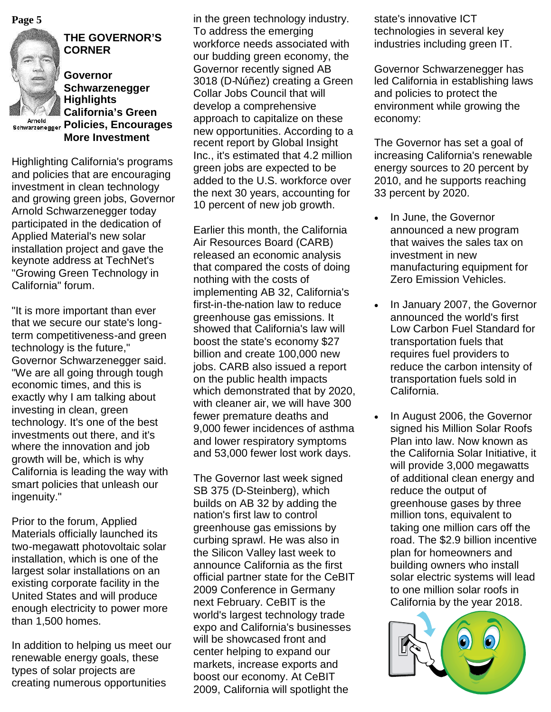

# **THE GOVERNOR'S CORNER**

**Governor Schwarzenegger Highlights California's Green Principal Community Community**<br> **Policies, Encourages More Investment**

Highlighting California's programs and policies that are encouraging investment in clean technology and growing green jobs, Governor Arnold Schwarzenegger today participated in the dedication of Applied Material's new solar installation project and gave the keynote address at TechNet's "Growing Green Technology in California" forum.

"It is more important than ever that we secure our state's longterm competitiveness-and green technology is the future," Governor Schwarzenegger said. "We are all going through tough economic times, and this is exactly why I am talking about investing in clean, green technology. It's one of the best investments out there, and it's where the innovation and job growth will be, which is why California is leading the way with smart policies that unleash our ingenuity."

Prior to the forum, Applied Materials officially launched its two-megawatt photovoltaic solar installation, which is one of the largest solar installations on an existing corporate facility in the United States and will produce enough electricity to power more than 1,500 homes.

In addition to helping us meet our renewable energy goals, these types of solar projects are creating numerous opportunities

**Page 5** in the green technology industry. To address the emerging workforce needs associated with our budding green economy, the Governor recently signed AB 3018 (D-Núñez) creating a Green Collar Jobs Council that will develop a comprehensive approach to capitalize on these new opportunities. According to a recent report by Global Insight Inc., it's estimated that 4.2 million green jobs are expected to be added to the U.S. workforce over the next 30 years, accounting for 10 percent of new job growth.

> Earlier this month, the California Air Resources Board (CARB) released an economic analysis that compared the costs of doing nothing with the costs of implementing AB 32, California's first-in-the-nation law to reduce greenhouse gas emissions. It showed that California's law will boost the state's economy \$27 billion and create 100,000 new jobs. CARB also issued a report on the public health impacts which demonstrated that by 2020, with cleaner air, we will have 300 fewer premature deaths and 9,000 fewer incidences of asthma and lower respiratory symptoms and 53,000 fewer lost work days.

> The Governor last week signed SB 375 (D-Steinberg), which builds on AB 32 by adding the nation's first law to control greenhouse gas emissions by curbing sprawl. He was also in the Silicon Valley last week to announce California as the first official partner state for the CeBIT 2009 Conference in Germany next February. CeBIT is the world's largest technology trade expo and California's businesses will be showcased front and center helping to expand our markets, increase exports and boost our economy. At CeBIT 2009, California will spotlight the

state's innovative ICT technologies in several key industries including green IT.

Governor Schwarzenegger has led California in establishing laws and policies to protect the environment while growing the economy:

The Governor has set a goal of increasing California's renewable energy sources to 20 percent by 2010, and he supports reaching 33 percent by 2020.

- In June, the Governor announced a new program that waives the sales tax on investment in new manufacturing equipment for Zero Emission Vehicles.
- In January 2007, the Governor announced the world's first Low Carbon Fuel Standard for transportation fuels that requires fuel providers to reduce the carbon intensity of transportation fuels sold in California.
- In August 2006, the Governor signed his Million Solar Roofs Plan into law. Now known as the California Solar Initiative, it will provide 3,000 megawatts of additional clean energy and reduce the output of greenhouse gases by three million tons, equivalent to taking one million cars off the road. The \$2.9 billion incentive plan for homeowners and building owners who install solar electric systems will lead to one million solar roofs in California by the year 2018.